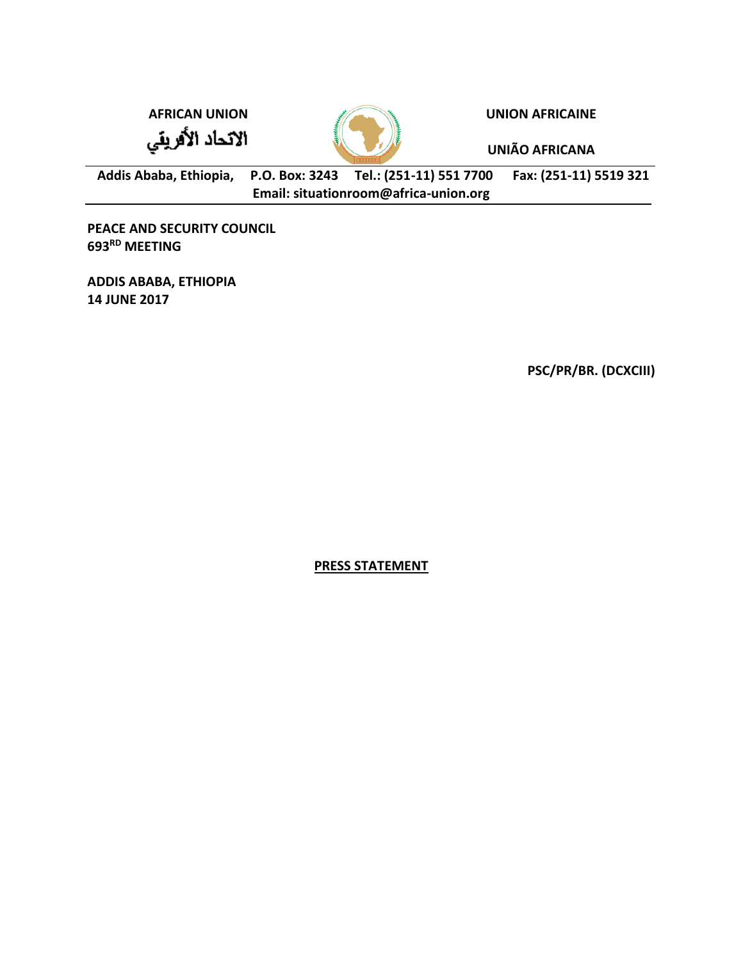الاتحاد الأفريقي



**AFRICAN UNION UNION AFRICAINE**

**UNIÃO AFRICANA**

**Addis Ababa, Ethiopia, P.O. Box: 3243 Tel.: (251-11) 551 7700 Fax: (251-11) 5519 321 Email: situationroom@africa-union.org**

**PEACE AND SECURITY COUNCIL 693 RD MEETING** 

**ADDIS ABABA, ETHIOPIA 14 JUNE 2017**

**PSC/PR/BR. (DCXCIII)** 

**PRESS STATEMENT**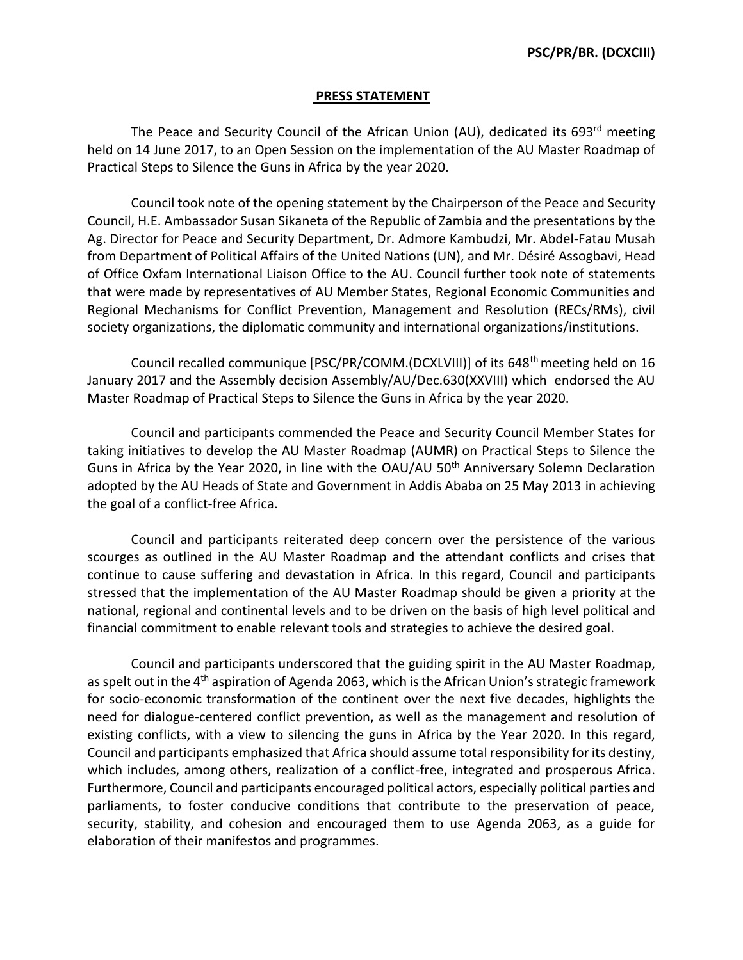## **PRESS STATEMENT**

The Peace and Security Council of the African Union (AU), dedicated its 693<sup>rd</sup> meeting held on 14 June 2017, to an Open Session on the implementation of the AU Master Roadmap of Practical Steps to Silence the Guns in Africa by the year 2020.

Council took note of the opening statement by the Chairperson of the Peace and Security Council, H.E. Ambassador Susan Sikaneta of the Republic of Zambia and the presentations by the Ag. Director for Peace and Security Department, Dr. Admore Kambudzi, Mr. Abdel-Fatau Musah from Department of Political Affairs of the United Nations (UN), and Mr. Désiré Assogbavi, Head of Office Oxfam International Liaison Office to the AU. Council further took note of statements that were made by representatives of AU Member States, Regional Economic Communities and Regional Mechanisms for Conflict Prevention, Management and Resolution (RECs/RMs), civil society organizations, the diplomatic community and international organizations/institutions.

Council recalled communique [PSC/PR/COMM.(DCXLVIII)] of its 648th meeting held on 16 January 2017 and the Assembly decision Assembly/AU/Dec.630(XXVIII) which endorsed the AU Master Roadmap of Practical Steps to Silence the Guns in Africa by the year 2020.

Council and participants commended the Peace and Security Council Member States for taking initiatives to develop the AU Master Roadmap (AUMR) on Practical Steps to Silence the Guns in Africa by the Year 2020, in line with the OAU/AU 50<sup>th</sup> Anniversary Solemn Declaration adopted by the AU Heads of State and Government in Addis Ababa on 25 May 2013 in achieving the goal of a conflict-free Africa.

Council and participants reiterated deep concern over the persistence of the various scourges as outlined in the AU Master Roadmap and the attendant conflicts and crises that continue to cause suffering and devastation in Africa. In this regard, Council and participants stressed that the implementation of the AU Master Roadmap should be given a priority at the national, regional and continental levels and to be driven on the basis of high level political and financial commitment to enable relevant tools and strategies to achieve the desired goal.

Council and participants underscored that the guiding spirit in the AU Master Roadmap, as spelt out in the 4<sup>th</sup> aspiration of Agenda 2063, which is the African Union's strategic framework for socio-economic transformation of the continent over the next five decades, highlights the need for dialogue-centered conflict prevention, as well as the management and resolution of existing conflicts, with a view to silencing the guns in Africa by the Year 2020. In this regard, Council and participants emphasized that Africa should assume total responsibility for its destiny, which includes, among others, realization of a conflict-free, integrated and prosperous Africa. Furthermore, Council and participants encouraged political actors, especially political parties and parliaments, to foster conducive conditions that contribute to the preservation of peace, security, stability, and cohesion and encouraged them to use Agenda 2063, as a guide for elaboration of their manifestos and programmes.